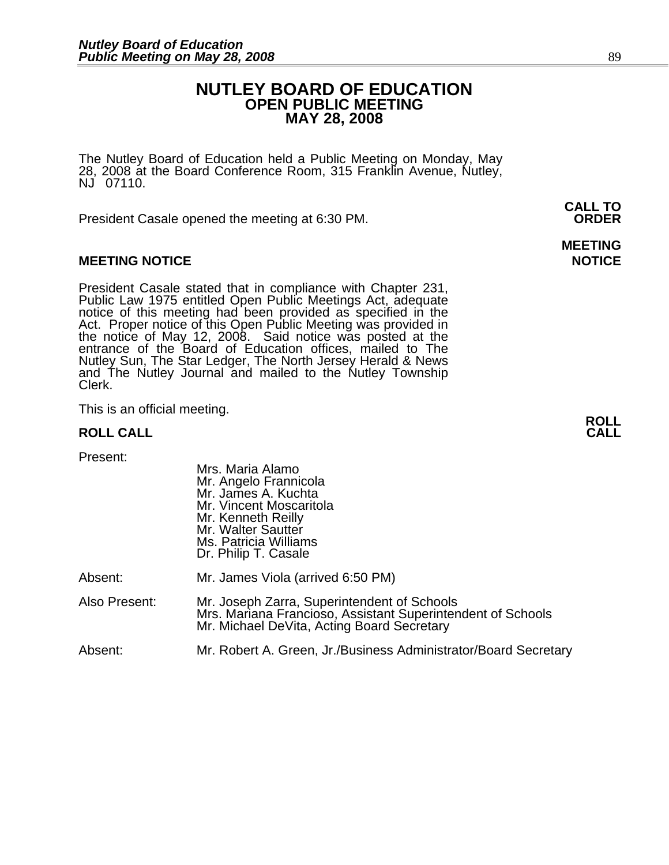## **NUTLEY BOARD OF EDUCATION OPEN PUBLIC MEETING MAY 28, 2008**

**MEETING** 

The Nutley Board of Education held a Public Meeting on Monday, May 28, 2008 at the Board Conference Room, 315 Franklin Avenue, Nutley, NJ 07110.

 **CALL TO**  President Casale opened the meeting at 6:30 PM. **ORDER**

#### **MEETING NOTICE NOTICE AND RESERVE ASSESS**

President Casale stated that in compliance with Chapter 231,<br>Public Law 1975 entitled Open Public Meetings Act, adequate<br>notice of this meeting had been provided as specified in the<br>Act. Proper notice of this Open Public M the notice of May 12, 2008. Said notice was posted at the<br>entrance of the Board of Education offices, mailed to The Nutley Sun, The Star Ledger, The North Jersey Herald & News and The Nutley Journal and mailed to the Nutley Township Clerk.

This is an official meeting. **ROLL ROLL CALL CALL** 

| Present:      | Mrs. Maria Alamo<br>Mr. Angelo Frannicola<br>Mr. James A. Kuchta<br>Mr. Vincent Moscaritola<br>Mr. Kenneth Reilly<br>Mr. Walter Sautter<br>Ms. Patricia Williams<br>Dr. Philip T. Casale |
|---------------|------------------------------------------------------------------------------------------------------------------------------------------------------------------------------------------|
| Absent:       | Mr. James Viola (arrived 6:50 PM)                                                                                                                                                        |
| Also Present: | Mr. Joseph Zarra, Superintendent of Schools<br>Mrs. Mariana Francioso, Assistant Superintendent of Schools<br>Mr. Michael DeVita, Acting Board Secretary                                 |
| Absent:       | Mr. Robert A. Green, Jr./Business Administrator/Board Secretary                                                                                                                          |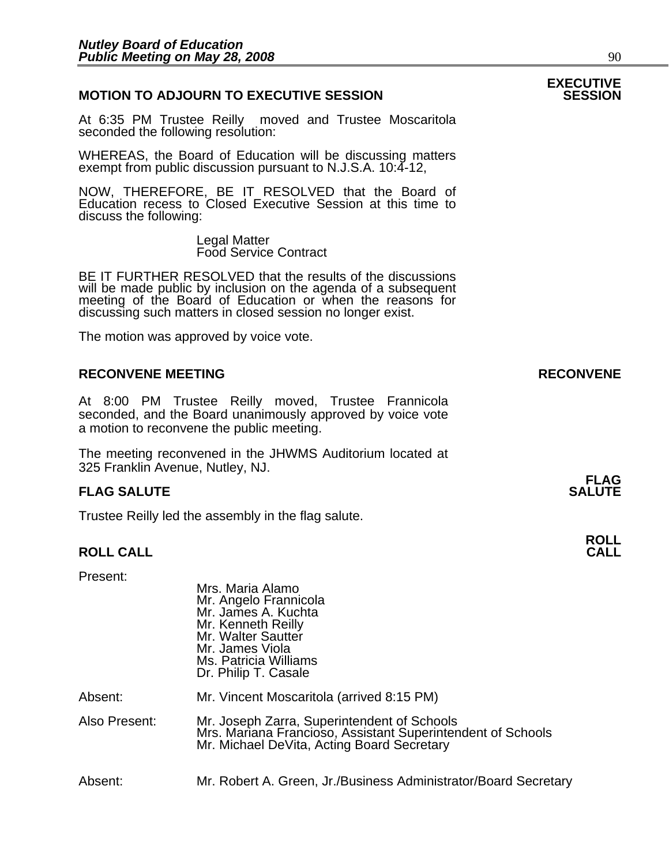#### **MOTION TO ADJOURN TO EXECUTIVE SESSION**

At 6:35 PM Trustee Reilly moved and Trustee Moscaritola seconded the following resolution:

WHEREAS, the Board of Education will be discussing matters exempt from public discussion pursuant to N.J.S.A. 10:4-12,

NOW, THEREFORE, BE IT RESOLVED that the Board of Education recess to Closed Executive Session at this time to discuss the following:

> Legal Matter Food Service Contract

BE IT FURTHER RESOLVED that the results of the discussions will be made public by inclusion on the agenda of a subsequent meeting of the Board of Education or when the reasons for discussing such matters in closed session no longer exist.

 The motion was approved by voice vote.

#### **RECONVENE MEETING RECONVENE**

At 8:00 PM Trustee Reilly moved, Trustee Frannicola seconded, and the Board unanimously approved by voice vote a motion to reconvene the public meeting.

The meeting reconvened in the JHWMS Auditorium located at 325 Franklin Avenue, Nutley, NJ.

#### **FLAG SALUTE** SALUTE SALUTE SALUTE SALUTE SALUTE

Trustee Reilly led the assembly in the flag salute.

# **ROLL ROLL CALL CALL**

Present:

|               | Mrs. Maria Alamo<br>Mr. Angelo Frannicola<br>Mr. James A. Kuchta<br>Mr. Kenneth Reilly<br>Mr. Walter Sautter<br>Mr. James Viola<br>Ms. Patricia Williams<br>Dr. Philip T. Casale |
|---------------|----------------------------------------------------------------------------------------------------------------------------------------------------------------------------------|
| Absent:       | Mr. Vincent Moscaritola (arrived 8:15 PM)                                                                                                                                        |
| Also Present: | Mr. Joseph Zarra, Superintendent of Schools<br>Mrs. Mariana Francioso, Assistant Superintendent of Schools<br>Mr. Michael DeVita, Acting Board Secretary                         |
| Absent:       | Mr. Robert A. Green, Jr./Business Administrator/Board Secretary                                                                                                                  |

# **EXECUTIVE**

**FLAG**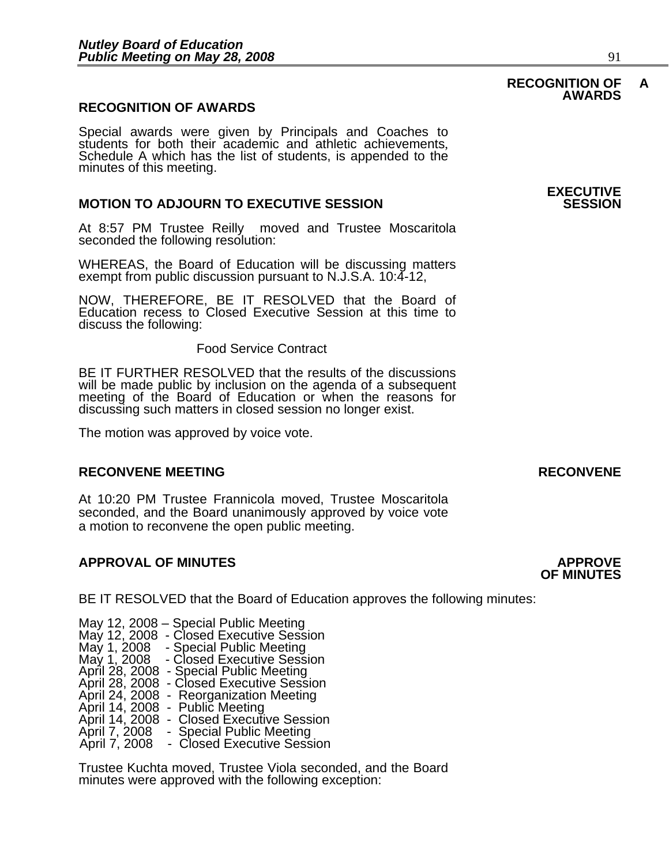#### **RECOGNITION OF AWARDS**

Special awards were given by Principals and Coaches to students for both their academic and athletic achievements, Schedule A which has the list of students, is appended to the minutes of this meeting.

#### **MOTION TO ADJOURN TO EXECUTIVE SESSION**

At 8:57 PM Trustee Reilly moved and Trustee Moscaritola seconded the following resolution:

WHEREAS, the Board of Education will be discussing matters exempt from public discussion pursuant to N.J.S.A. 10:4-12,

NOW, THEREFORE, BE IT RESOLVED that the Board of Education recess to Closed Executive Session at this time to discuss the following:

#### Food Service Contract

BE IT FURTHER RESOLVED that the results of the discussions will be made public by inclusion on the agenda of a subsequent meeting of the Board of Education or when the reasons for discussing such matters in closed session no longer exist.

 The motion was approved by voice vote.

#### **RECONVENE MEETING RECONVENE**

At 10:20 PM Trustee Frannicola moved, Trustee Moscaritola seconded, and the Board unanimously approved by voice vote a motion to reconvene the open public meeting.

#### **APPROVAL OF MINUTES APPROVE**

BE IT RESOLVED that the Board of Education approves the following minutes:

 May 12, 2008 – Special Public Meeting May 12, 2008 - Closed Executive Session May 1, 2008 - Special Public Meeting May 1, 2008 - Closed Executive Session April 28, 2008 - Special Public Meeting April 28, 2008 - Closed Executive Session<br>April 24, 2008 - Reorganization Meeting April 24, 2008 - Reorganization Meeting<br>April 14, 2008 - Public Meeting<br>April 14, 2008 - Closed Executive Session April 7, 2008 - Special Public Meeting<br>April 7, 2008 - Closed Executive Session

> Trustee Kuchta moved, Trustee Viola seconded, and the Board minutes were approved with the following exception:

# **EXECUTIVE**

# **OF MINUTES**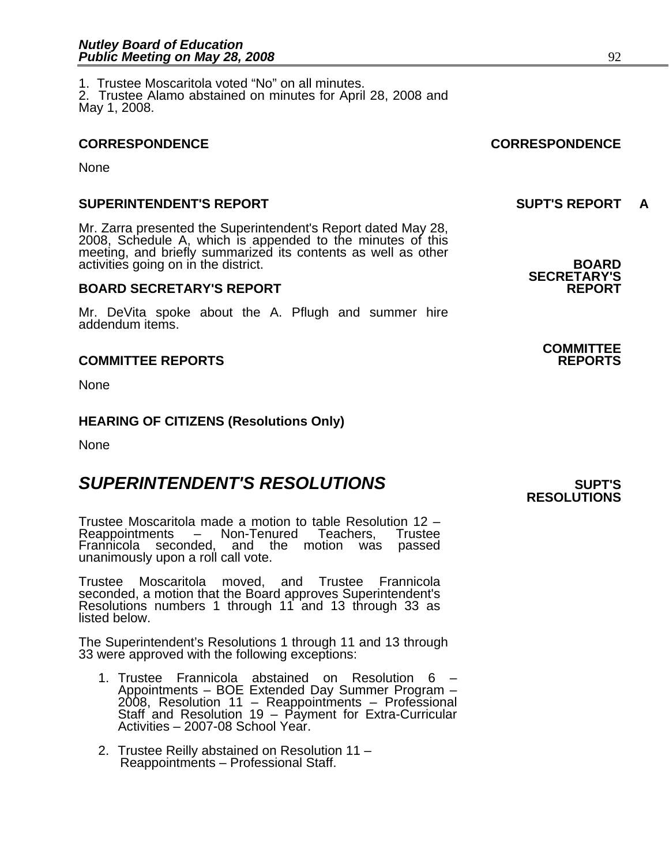**None** 

#### **SUPERINTENDENT'S REPORT SUPT'S REPORT A**

Mr. Zarra presented the Superintendent's Report dated May 28, 2008, Schedule A, which is appended to the minutes of this meeting, and briefly summarized its contents as well as other activities going on in the district. **BOARD** 

#### **BOARD SECRETARY'S REPORT**

Mr. DeVita spoke about the A. Pflugh and summer hire addendum items.

#### **COMMITTEE REPORTS REPORTS**

**None** 

#### **HEARING OF CITIZENS (Resolutions Only)**

None

# **SUPERINTENDENT'S RESOLUTIONS** *SUPERINTENDENT'S*

Trustee Moscaritola made a motion to table Resolution 12 – Reappointments – Non-Tenured Teachers, Frannicola seconded, and the motion was passed unanimously upon a roll call vote.

Trustee Moscaritola moved, and Trustee Frannicola seconded, a motion that the Board approves Superintendent's<br>Resolutions numbers 1 through 11 and 13 through 33 as listed below.

The Superintendent's Resolutions 1 through 11 and 13 through 33 were approved with the following exceptions:

- 1. Trustee Frannicola abstained on Resolution 6 –<br>Appointments BOE Extended Day Summer Program Appointments – BOE Extended Day Summer Program – 2008, Resolution 11 – Reappointments – Professional Staff and Resolution 19 – Payment for Extra-Curricular Activities – 2007-08 School Year.
- 2. Trustee Reilly abstained on Resolution 11 Reappointments – Professional Staff.

1. Trustee Moscaritola voted "No" on all minutes. 2. Trustee Alamo abstained on minutes for April 28, 2008 and May 1, 2008.

### **CORRESPONDENCE CORRESPONDENCE**

**SECRETARY'S** 

**COMMITTEE** 

# **RESOLUTIONS**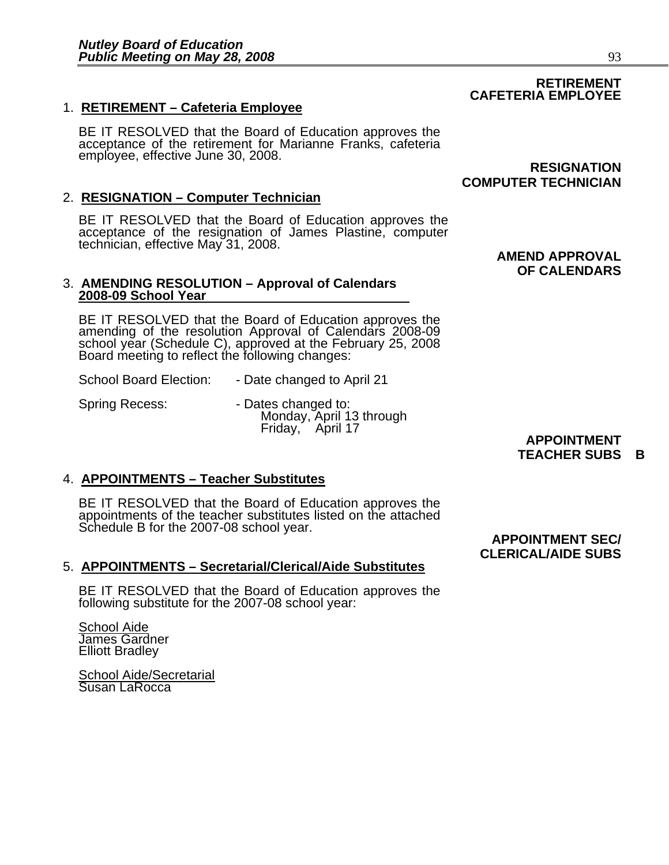## 1. **RETIREMENT – Cafeteria Employee**

BE IT RESOLVED that the Board of Education approves the acceptance of the retirement for Marianne Franks, cafeteria employee, effective June 30, 2008. **RESIGNATION** 

### 2. **RESIGNATION – Computer Technician**

BE IT RESOLVED that the Board of Education approves the acceptance of the resignation of James Plastine, computer technician, effective May 31, 2008.

#### 3. **AMENDING RESOLUTION – Approval of Calendars 2008-09 School Year**

BE IT RESOLVED that the Board of Education approves the amending of the resolution Approval of Calendars 2008-09 school year (Schedule C), approved at the February 25, 2008 Board meeting to reflect the following changes:

School Board Election: - Date changed to April 21

Spring Recess: The Spring Recess: The Spring Recess: All of Dates changed to:<br>Monday, April 13 through **Monday, April 13 through APPOINTMENT** Friday, April 17

## 4. **APPOINTMENTS – Teacher Substitutes**

BE IT RESOLVED that the Board of Education approves the appointments of the teacher substitutes listed on the attached Schedule B for the 2007-08 school year.

#### 5. **APPOINTMENTS – Secretarial/Clerical/Aide Substitutes**

BE IT RESOLVED that the Board of Education approves the following substitute for the 2007-08 school year:

**School Aide** James Gardner Elliott Bradley

School Aide/Secretarial Susan LaRocca

# **COMPUTER TECHNICIAN**

 **AMEND APPROVAL OF CALENDARS** 

# **TEACHER SUBS B**

 **APPOINTMENT SEC/ CLERICAL/AIDE SUBS** 

# **RETIREMENT CAFETERIA EMPLOYEE**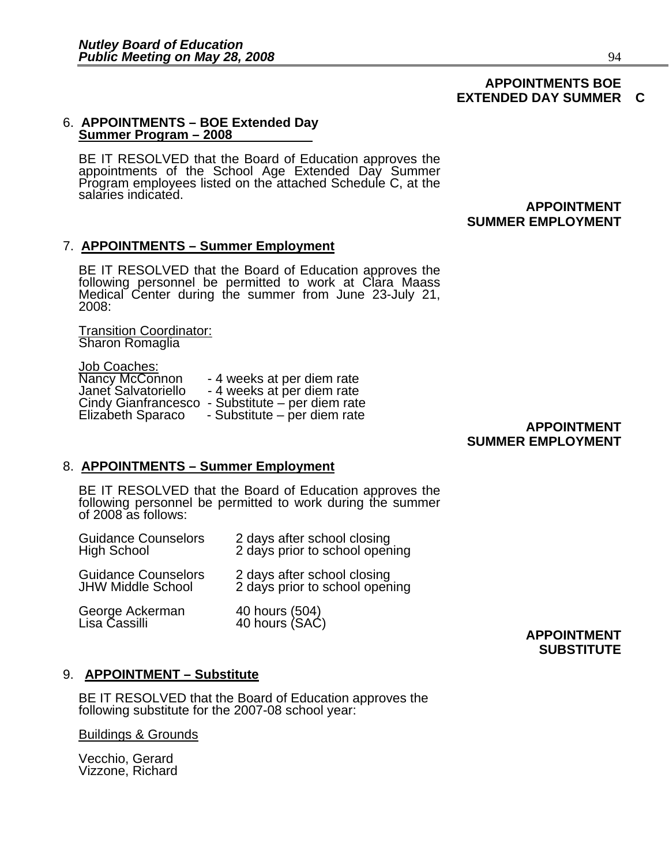#### **APPOINTMENTS BOE EXTENDED DAY SUMMER C**

#### 6. **APPOINTMENTS – BOE Extended Day Summer Program – 2008**

BE IT RESOLVED that the Board of Education approves the appointments of the School Age Extended Day Summer Program employees listed on the attached Schedule C, at the salaries indicated.

## **APPOINTMENT SUMMER EMPLOYMENT**

### 7. **APPOINTMENTS – Summer Employment**

BE IT RESOLVED that the Board of Education approves the<br>following personnel be permitted to work at Clara Maass Medical Center during the summer from June 23-July 21, 2008:

Transition Coordinator: Sharon Romaglia

**Job Coaches:<br>Nancy McConnon** Nancy McConnon - 4 weeks at per diem rate<br>Janet Salvatoriello - 4 weeks at per diem rate<br>Cindy Gianfrancesco - Substitute – per diem rate<br>Elizabeth Sparaco - Substitute – per diem rate

### **APPOINTMENT SUMMER EMPLOYMENT**

#### 8. **APPOINTMENTS – Summer Employment**

BE IT RESOLVED that the Board of Education approves the following personnel be permitted to work during the summer of 2008 as follows:

| <b>Guidance Counselors</b>       | 2 days after school closing      |
|----------------------------------|----------------------------------|
| <b>High School</b>               | 2 days prior to school opening   |
| <b>Guidance Counselors</b>       | 2 days after school closing      |
| <b>JHW Middle School</b>         | 2 days prior to school opening   |
| George Ackerman<br>Lisa Cassilli | 40 hours (504)<br>40 hours (SAC) |

### **APPOINTMENT SUBSTITUTE**

## 9. **APPOINTMENT – Substitute**

BE IT RESOLVED that the Board of Education approves the following substitute for the 2007-08 school year:

#### Buildings & Grounds

Vecchio, Gerard Vizzone, Richard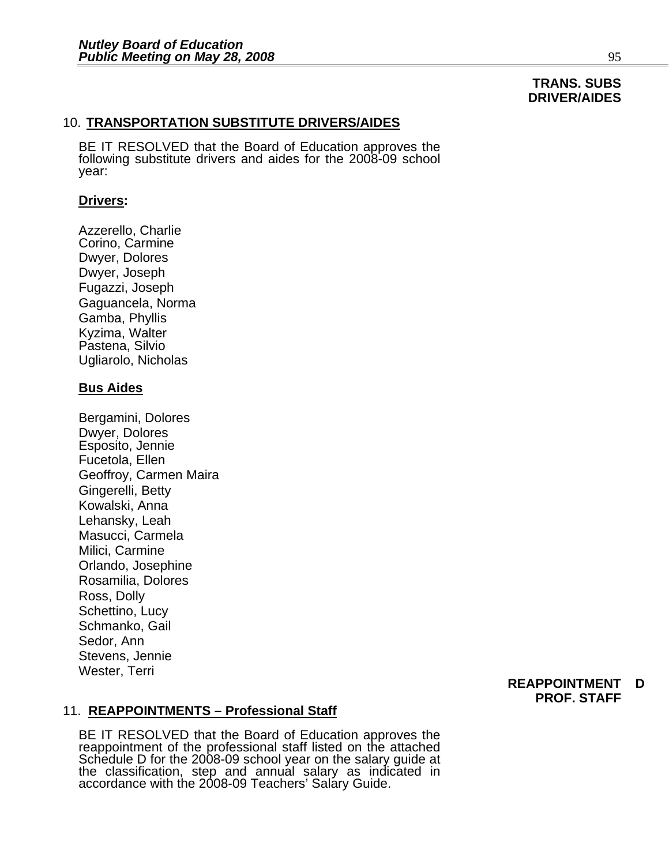# **TRANS. SUBS DRIVER/AIDES**

#### 10. **TRANSPORTATION SUBSTITUTE DRIVERS/AIDES**

BE IT RESOLVED that the Board of Education approves the following substitute drivers and aides for the 2008-09 school year:

#### **Drivers:**

Azzerello, Charlie Corino, Carmine Dwyer, Dolores Dwyer, Joseph Fugazzi, Joseph Gaguancela, Norma Gamba, Phyllis Kyzima, Walter Pastena, Silvio Ugliarolo, Nicholas

#### **Bus Aides**

Bergamini, Dolores Dwyer, Dolores Esposito, Jennie Fucetola, Ellen Geoffroy, Carmen Maira Gingerelli, Betty Kowalski, Anna Lehansky, Leah Masucci, Carmela Milici, Carmine Orlando, Josephine Rosamilia, Dolores Ross, Dolly Schettino, Lucy Schmanko, Gail Sedor, Ann Stevens, Jennie Wester, Terri

#### **REAPPOINTMENT D PROF. STAFF**

#### 11. **REAPPOINTMENTS – Professional Staff**

BE IT RESOLVED that the Board of Education approves the reappointment of the professional staff listed on the attached Schedule D for the 2008-09 school year on the salary guide at the classification, step and annual salary as indicated in accordance with the 2008-09 Teachers' Salary Guide.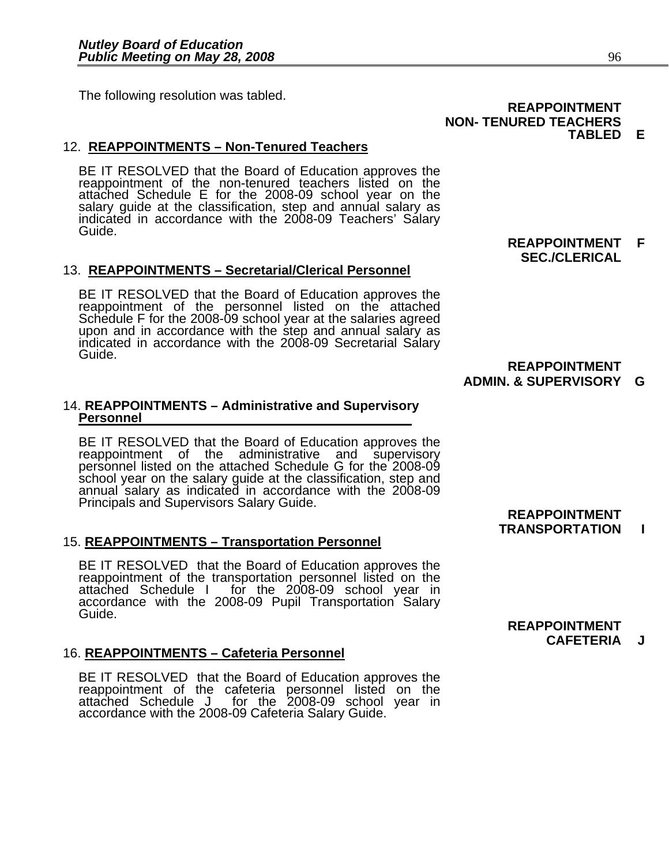The following resolution was tabled. **REAPPOINTMENT REAPPOINTMENT** 

## 12. **REAPPOINTMENTS – Non-Tenured Teachers**

BE IT RESOLVED that the Board of Education approves the reappointment of the non-tenured teachers listed on the attached Schedule E for the 2008-09 school year on the salary guide at the classification, step and annual salary as indicated in accordance with the 2008-09 Teachers' Salary Guide.

#### 13. **REAPPOINTMENTS – Secretarial/Clerical Personnel**

BE IT RESOLVED that the Board of Education approves the reappointment of the personnel listed on the attached Schedule F for the 2008-09 school year at the salaries agreed<br>upon and in accordance with the step and annual salary as<br>indicated in accordance with the 2008-09 Secretarial Salary Guide.

#### 14. **REAPPOINTMENTS – Administrative and Supervisory Personnel**

BE IT RESOLVED that the Board of Education approves the reappointment of the administrative and supervisory<br>personnel listed on the attached Schedule G for the 2008-09 .<br>school year on the salary guide at the classification, step and<br>annual salary as indicated in accordance with the 2008-09 Principals and Supervisors Salary Guide.<br> **REAPPOINTMENT** 

#### 15. **REAPPOINTMENTS – Transportation Personnel**

BE IT RESOLVED that the Board of Education approves the reappointment of the transportation personnel listed on the attached Schedule I for the 2008-09 school year in accordance with the 2008-09 Pupil Transportation Salary

#### 16. **REAPPOINTMENTS – Cafeteria Personnel**

BE IT RESOLVED that the Board of Education approves the reappointment of the cafeteria personnel listed on the attached Schedule J for the 2008-09 school year in accordance with the 2008-09 Cafeteria Salary Guide.

**REAPPOINTMENT F SEC./CLERICAL** 

## **REAPPOINTMENT ADMIN. & SUPERVISORY G**

#### **REAPPOINTMENT CAFETERIA J**

**TRANSPORTATION I** 

# **NON- TENURED TEACHERS TABLED E**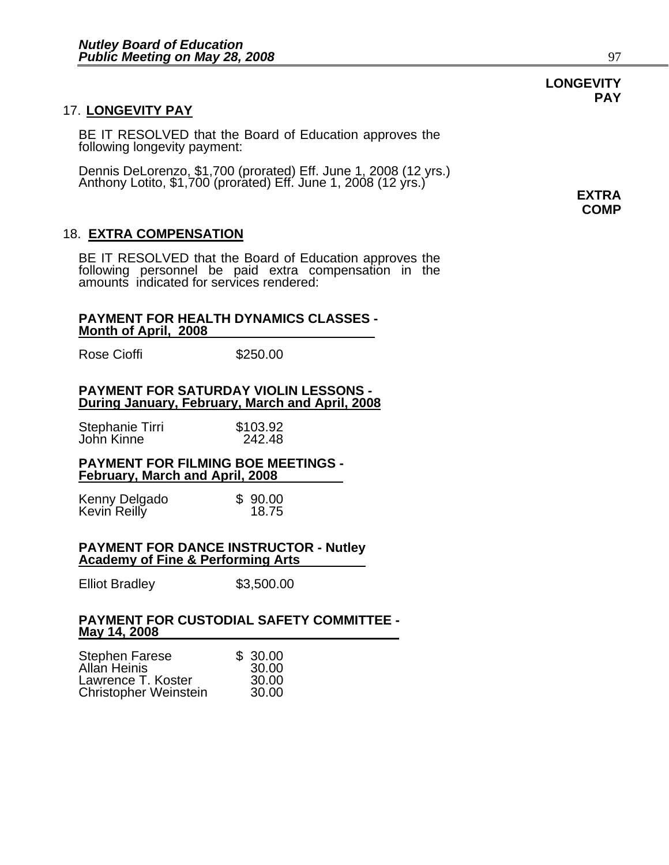## 17. **LONGEVITY PAY**

BE IT RESOLVED that the Board of Education approves the following longevity payment:

Dennis DeLorenzo, \$1,700 (prorated) Eff. June 1, 2008 (12 yrs.) Anthony Lotito, \$1,700 (prorated) Eff. June 1, 2008 (12 yrs.) **EXTRA** 

### 18. **EXTRA COMPENSATION**

BE IT RESOLVED that the Board of Education approves the following personnel be paid extra compensation in the amounts indicated for services rendered:

#### **PAYMENT FOR HEALTH DYNAMICS CLASSES - Month of April, 2008**

Rose Cioffi \$250.00

### **PAYMENT FOR SATURDAY VIOLIN LESSONS - During January, February, March and April, 2008**

| Stephanie Tirri | \$103.92 |
|-----------------|----------|
| John Kinne      | 242.48   |

#### **PAYMENT FOR FILMING BOE MEETINGS - February, March and April, 2008**

| Kenny Delgado | \$90.00 |
|---------------|---------|
| Kevin Reilly  | 18.75   |

#### **PAYMENT FOR DANCE INSTRUCTOR - Nutley Academy of Fine & Performing Arts**

Elliot Bradley \$3,500.00

#### **PAYMENT FOR CUSTODIAL SAFETY COMMITTEE - May 14, 2008**

| <b>Stephen Farese</b>        | \$30.00 |
|------------------------------|---------|
| Allan Heinis                 | 30.00   |
| Lawrence T. Koster           | 30.00   |
| <b>Christopher Weinstein</b> | 30.00   |

## **LONGEVITY PAY**

**COMP**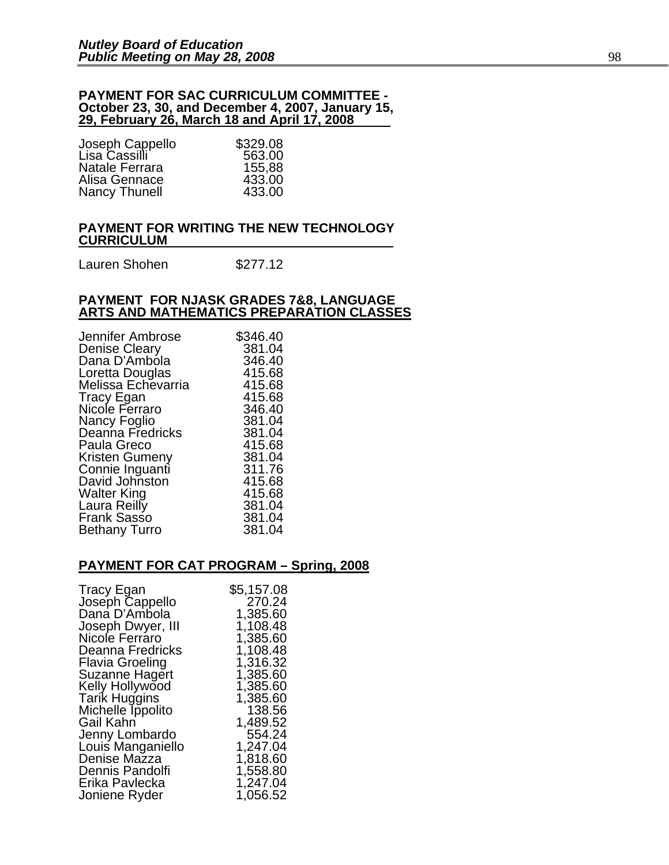#### **PAYMENT FOR SAC CURRICULUM COMMITTEE - October 23, 30, and December 4, 2007, January 15, 29, February 26, March 18 and April 17, 2008**

| \$329.08 |
|----------|
| 563.00   |
| 155,88   |
| 433.00   |
| 433.00   |
|          |

#### **PAYMENT FOR WRITING THE NEW TECHNOLOGY CURRICULUM**

Lauren Shohen \$277.12

#### **PAYMENT FOR NJASK GRADES 7&8, LANGUAGE ARTS AND MATHEMATICS PREPARATION CLASSES**

| Jennifer Ambrose     | \$346.40 |
|----------------------|----------|
| <b>Denise Cleary</b> | 381.04   |
| Dana D'Ambola        | 346.40   |
| Loretta Douglas      | 415.68   |
| Melissa Echevarria   | 415.68   |
| Tracy Egan           | 415.68   |
| Nicole Ferraro       | 346.40   |
| Nancy Foglio         | 381.04   |
| Deanna Fredricks     | 381.04   |
| Paula Greco          | 415.68   |
| Kristen Gumeny       | 381.04   |
| Connie Inguanti      | 311.76   |
| David Johnston       | 415.68   |
| Walter King          | 415.68   |
| Laura Reilly         | 381.04   |
| <b>Frank Sasso</b>   | 381.04   |
| <b>Bethany Turro</b> | 381.04   |

#### **PAYMENT FOR CAT PROGRAM – Spring, 2008**

| <b>Tracy Egan</b>    | \$5,157.08 |
|----------------------|------------|
| Joseph Cappello      | 270.24     |
| Dana D'Ambola        | 1,385.60   |
| Joseph Dwyer, III    | 1,108.48   |
| Nicole Ferraro       | 1,385.60   |
| Deanna Fredricks     | 1,108.48   |
| Flavia Groeling      | 1,316.32   |
| Suzanne Hagert       | 1,385.60   |
| Kelly Hollywood      | 1,385.60   |
| <b>Tarik Huggins</b> | 1,385.60   |
| Michelle Ippolito    | 138.56     |
| Gail Kahn            | 1,489.52   |
| Jenny Lombardo       | 554.24     |
| Louis Manganiello    | 1,247.04   |
| Denise Mazza         | 1,818.60   |
| Dennis Pandolfi      | 1,558.80   |
| Erika Pavlecka       | 1,247.04   |
| Joniene Ryder        | 1,056.52   |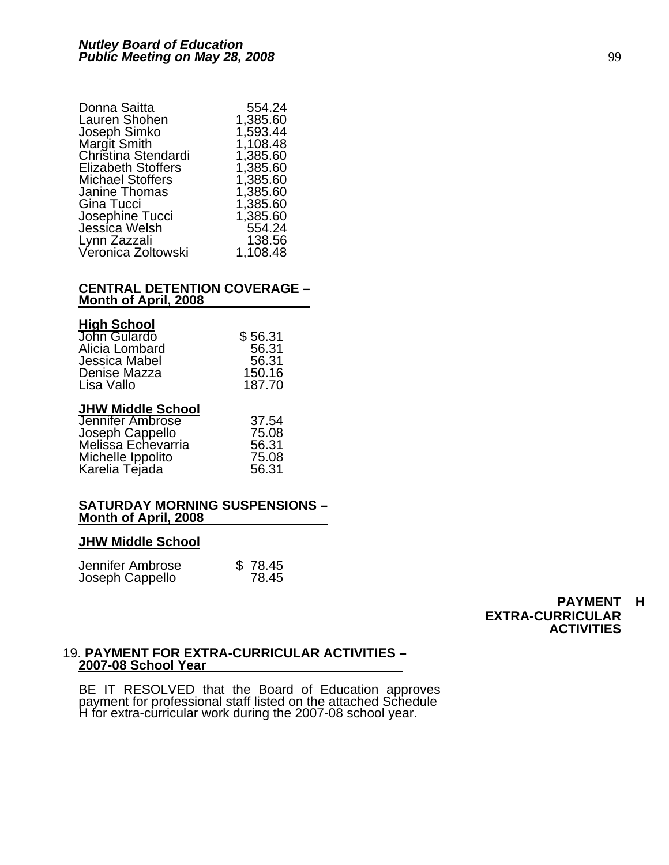| Donna Saitta                     | 554.24   |
|----------------------------------|----------|
| Lauren Shohen                    | 1,385.60 |
| Joseph Simko                     | 1,593.44 |
| <b>Margit Smith</b>              | 1,108.48 |
| Christina Stendardi              | 1,385.60 |
| <b>Elizabeth Stoffers</b>        | 1,385.60 |
| <b>Michael Stoffers</b>          | 1,385.60 |
| Janine Thomas                    | 1,385.60 |
| Gina Tucci                       | 1,385.60 |
|                                  | 1,385.60 |
| Josephine Tucci<br>Jessica Welsh | 554.24   |
| Lynn Zazzali                     | 138.56   |
| Veronica Zoltowski               | 1,108.48 |
|                                  |          |

#### **CENTRAL DETENTION COVERAGE – Month of April, 2008**

| <b>High School</b> |  |
|--------------------|--|
| John Gulardo       |  |

| ו טטווטט וואוו |         |
|----------------|---------|
| John Gulardo   | \$56.31 |
| Alicia Lombard | 56.31   |
| Jessica Mabel  | 56.31   |
| Denise Mazza   | 150.16  |
| Lisa Vallo     | 187.70  |
|                |         |

### **JHW Middle School**

| Jennifer Ambrose   | 37.54 |
|--------------------|-------|
| Joseph Cappello    | 75.08 |
| Melissa Echevarria | 56.31 |
| Michelle Ippolito  | 75.08 |
| Karelia Tejada     | 56.31 |

#### **SATURDAY MORNING SUSPENSIONS – Month of April, 2008**

#### **JHW Middle School**

| Jennifer Ambrose | \$78.45 |
|------------------|---------|
| Joseph Cappello  | 78.45   |

**PAYMENT H EXTRA-CURRICULAR ACTIVITIES** 

#### 19. **PAYMENT FOR EXTRA-CURRICULAR ACTIVITIES – 2007-08 School Year**

BE IT RESOLVED that the Board of Education approves payment for professional staff listed on the attached Schedule H for extra-curricular work during the 2007-08 school year.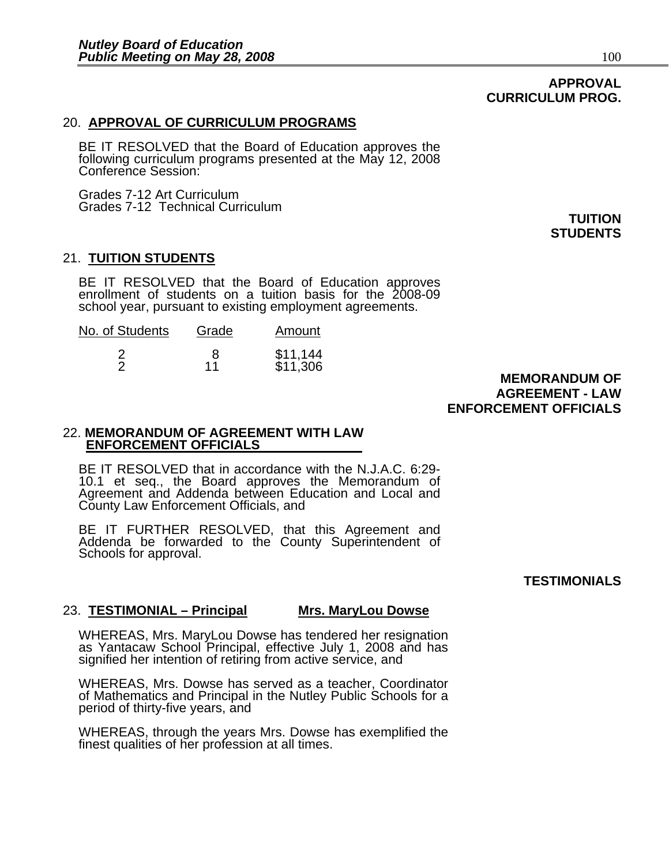## **APPROVAL CURRICULUM PROG.**

#### 20. **APPROVAL OF CURRICULUM PROGRAMS**

BE IT RESOLVED that the Board of Education approves the following curriculum programs presented at the May 12, 2008 Conference Session:

Grades 7-12 Art Curriculum Grades 7-12 Technical Curriculum

21. **TUITION STUDENTS**

BE IT RESOLVED that the Board of Education approves enrollment of students on a tuition basis for the 2008-09 school year, pursuant to existing employment agreements.

| No. of Students | Grade | Amount               |
|-----------------|-------|----------------------|
|                 | 11    | \$11,144<br>\$11,306 |

 **MEMORANDUM OF AGREEMENT - LAW ENFORCEMENT OFFICIALS** 

#### 22. **MEMORANDUM OF AGREEMENT WITH LAW ENFORCEMENT OFFICIALS**

BE IT RESOLVED that in accordance with the N.J.A.C. 6:29- 10.1 et seq., the Board approves the Memorandum of Agreement and Addenda between Education and Local and County Law Enforcement Officials, and

BE IT FURTHER RESOLVED, that this Agreement and Addenda be forwarded to the County Superintendent of Schools for approval.

# **TESTIMONIALS**

#### 23. **TESTIMONIAL – Principal Mrs. MaryLou Dowse**

WHEREAS, Mrs. MaryLou Dowse has tendered her resignation as Yantacaw School Principal, effective July 1, 2008 and has signified her intention of retiring from active service, and

WHEREAS, Mrs. Dowse has served as a teacher, Coordinator of Mathematics and Principal in the Nutley Public Schools for a period of thirty-five years, and

WHEREAS, through the years Mrs. Dowse has exemplified the finest qualities of her profession at all times.

**TUITION STUDENTS**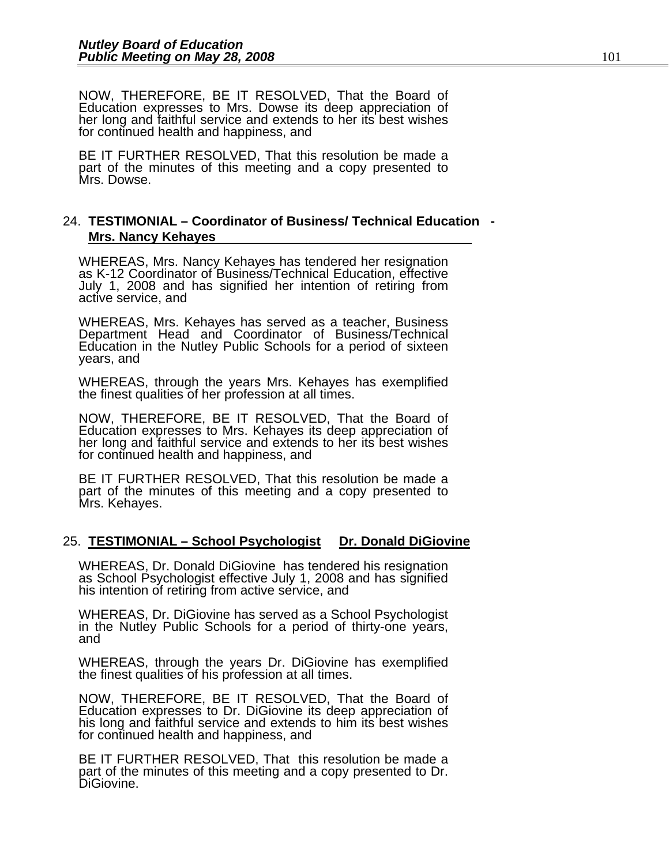NOW, THEREFORE, BE IT RESOLVED, That the Board of Education expresses to Mrs. Dowse its deep appreciation of her long and faithful service and extends to her its best wishes for continued health and happiness, and

BE IT FURTHER RESOLVED, That this resolution be made a part of the minutes of this meeting and a copy presented to Mrs. Dowse.

#### 24. **TESTIMONIAL – Coordinator of Business/ Technical Education - Mrs. Nancy Kehayes**

WHEREAS, Mrs. Nancy Kehayes has tendered her resignation as K-12 Coordinator of Business/Technical Education, effective July 1, 2008 and has signified her intention of retiring from active service, and

WHEREAS, Mrs. Kehayes has served as a teacher, Business Department Head and Coordinator of Business/Technical Education in the Nutley Public Schools for a period of sixteen years, and

WHEREAS, through the years Mrs. Kehayes has exemplified the finest qualities of her profession at all times.

NOW, THEREFORE, BE IT RESOLVED, That the Board of Education expresses to Mrs. Kehayes its deep appreciation of her long and faithful service and extends to her its best wishes for continued health and happiness, and

BE IT FURTHER RESOLVED, That this resolution be made a part of the minutes of this meeting and a copy presented to Mrs. Kehayes.

#### 25. **TESTIMONIAL – School Psychologist Dr. Donald DiGiovine**

WHEREAS, Dr. Donald DiGiovine has tendered his resignation as School Psychologist effective July 1, 2008 and has signified his intention of retiring from active service, and

WHEREAS, Dr. DiGiovine has served as a School Psychologist in the Nutley Public Schools for a period of thirty-one years, and

WHEREAS, through the years Dr. DiGiovine has exemplified the finest qualities of his profession at all times.

NOW, THEREFORE, BE IT RESOLVED, That the Board of Education expresses to Dr. DiGiovine its deep appreciation of his long and faithful service and extends to him its best wishes for continued health and happiness, and

BE IT FURTHER RESOLVED, That this resolution be made a part of the minutes of this meeting and a copy presented to Dr. DiGiovine.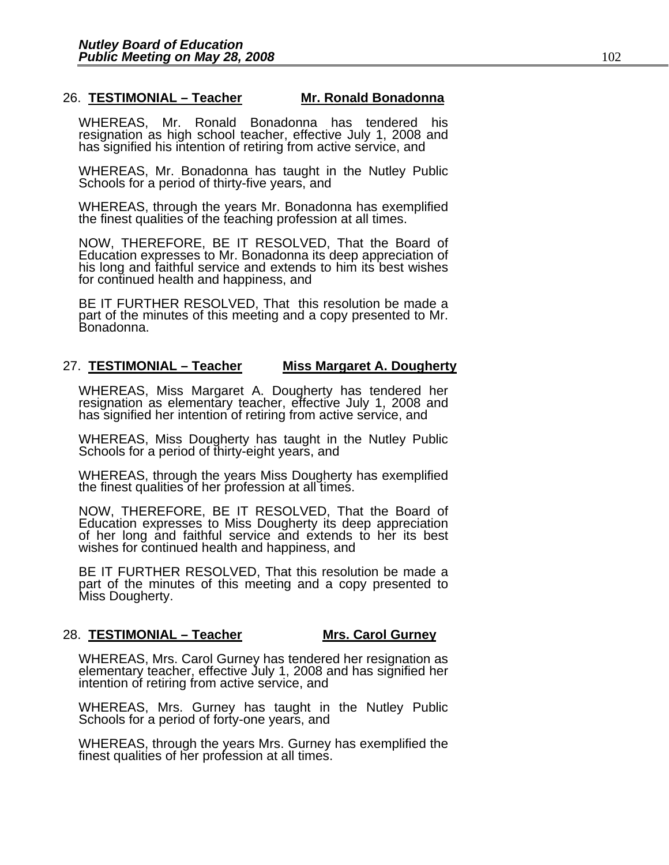### 26. **TESTIMONIAL – Teacher Mr. Ronald Bonadonna**

WHEREAS, Mr. Ronald Bonadonna has tendered his resignation as high school teacher, effective July 1, 2008 and has signified his intention of retiring from active service, and

WHEREAS, Mr. Bonadonna has taught in the Nutley Public Schools for a period of thirty-five years, and

WHEREAS, through the years Mr. Bonadonna has exemplified the finest qualities of the teaching profession at all times.

NOW, THEREFORE, BE IT RESOLVED, That the Board of Education expresses to Mr. Bonadonna its deep appreciation of his long and faithful service and extends to him its best wishes for continued health and happiness, and

BE IT FURTHER RESOLVED, That this resolution be made a part of the minutes of this meeting and a copy presented to Mr. Bonadonna.

#### 27. **TESTIMONIAL – Teacher Miss Margaret A. Dougherty**

WHEREAS, Miss Margaret A. Dougherty has tendered her resignation as elementary teacher, effective July 1, 2008 and has signified her intention of retiring from active service, and

WHEREAS, Miss Dougherty has taught in the Nutley Public Schools for a period of thirty-eight years, and

WHEREAS, through the years Miss Dougherty has exemplified the finest qualities of her profession at all times.

NOW, THEREFORE, BE IT RESOLVED, That the Board of Education expresses to Miss Dougherty its deep appreciation of her long and faithful service and extends to her its best wishes for continued health and happiness, and

BE IT FURTHER RESOLVED, That this resolution be made a part of the minutes of this meeting and a copy presented to Miss Dougherty.

#### 28. **TESTIMONIAL – Teacher Mrs. Carol Gurney**

WHEREAS, Mrs. Carol Gurney has tendered her resignation as<br>elementary teacher, effective July 1, 2008 and has signified her<br>intention of retiring from active service, and

WHEREAS, Mrs. Gurney has taught in the Nutley Public Schools for a period of forty-one years, and

WHEREAS, through the years Mrs. Gurney has exemplified the finest qualities of her profession at all times.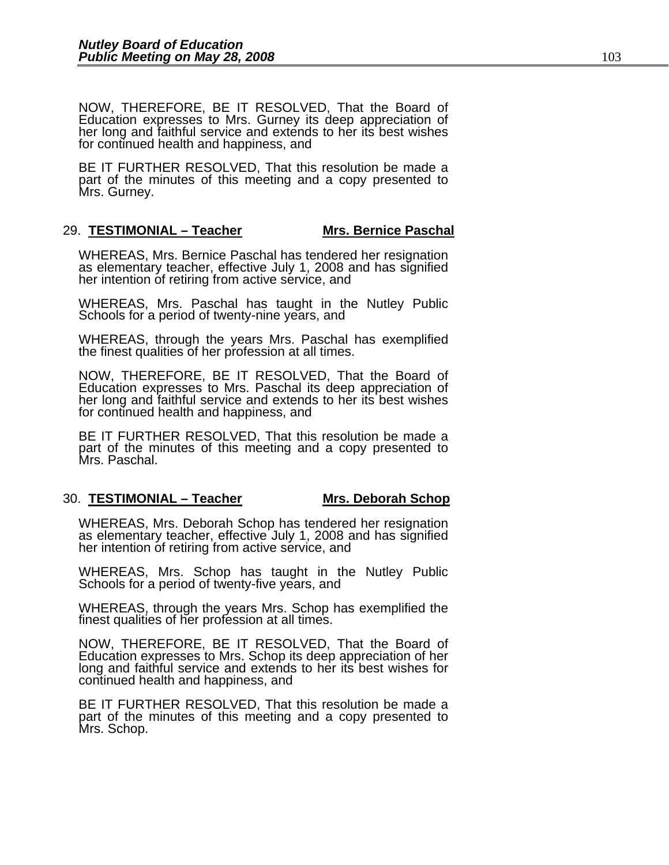NOW, THEREFORE, BE IT RESOLVED, That the Board of Education expresses to Mrs. Gurney its deep appreciation of her long and faithful service and extends to her its best wishes for continued health and happiness, and

BE IT FURTHER RESOLVED, That this resolution be made a part of the minutes of this meeting and a copy presented to Mrs. Gurney.

#### 29. **TESTIMONIAL – Teacher Mrs. Bernice Paschal**

WHEREAS, Mrs. Bernice Paschal has tendered her resignation<br>as elementary teacher, effective July 1, 2008 and has signified<br>her intention of retiring from active service, and

WHEREAS, Mrs. Paschal has taught in the Nutley Public Schools for a period of twenty-nine years, and

WHEREAS, through the years Mrs. Paschal has exemplified the finest qualities of her profession at all times.

NOW, THEREFORE, BE IT RESOLVED, That the Board of Education expresses to Mrs. Paschal its deep appreciation of her long and faithful service and extends to her its best wishes for continued health and happiness, and

BE IT FURTHER RESOLVED, That this resolution be made a part of the minutes of this meeting and a copy presented to Mrs. Paschal.

#### 30. **TESTIMONIAL – Teacher Mrs. Deborah Schop**

WHEREAS, Mrs. Deborah Schop has tendered her resignation as elementary teacher, effective July 1, 2008 and has signified her intention of retiring from active service, and

WHEREAS, Mrs. Schop has taught in the Nutley Public Schools for a period of twenty-five years, and

WHEREAS, through the years Mrs. Schop has exemplified the finest qualities of her profession at all times.

NOW, THEREFORE, BE IT RESOLVED, That the Board of Education expresses to Mrs. Schop its deep appreciation of her long and faithful service and extends to her its best wishes for continued health and happiness, and

BE IT FURTHER RESOLVED, That this resolution be made a part of the minutes of this meeting and a copy presented to Mrs. Schop.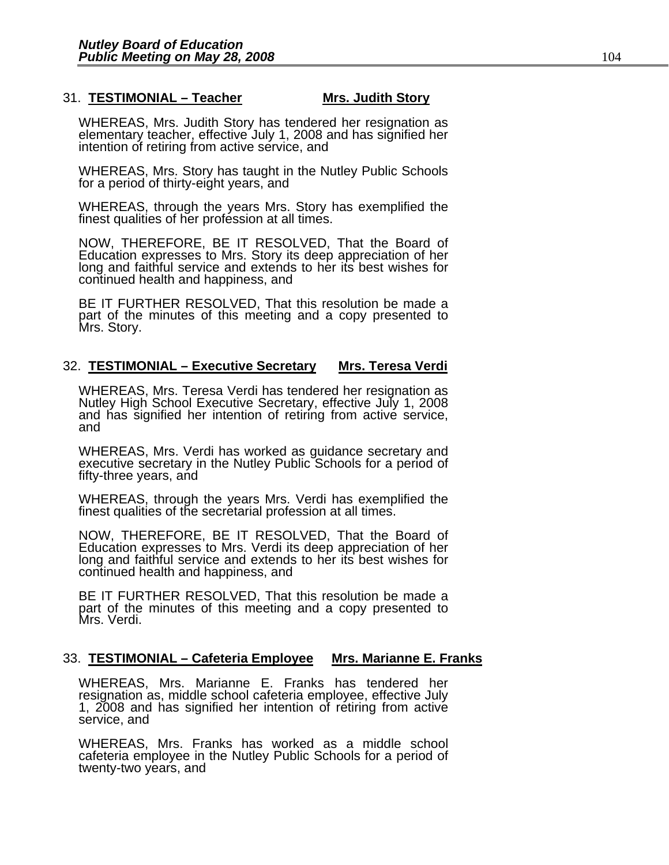#### 31. **TESTIMONIAL – Teacher Mrs. Judith Story**

WHEREAS, Mrs. Judith Story has tendered her resignation as elementary teacher, effective July 1, 2008 and has signified her intention of retiring from active service, and

WHEREAS, Mrs. Story has taught in the Nutley Public Schools for a period of thirty-eight years, and

WHEREAS, through the years Mrs. Story has exemplified the finest qualities of her profession at all times.

NOW, THEREFORE, BE IT RESOLVED, That the Board of Education expresses to Mrs. Story its deep appreciation of her long and faithful service and extends to her its best wishes for continued health and happiness, and

BE IT FURTHER RESOLVED, That this resolution be made a part of the minutes of this meeting and a copy presented to Mrs. Story.

#### 32. **TESTIMONIAL – Executive Secretary Mrs. Teresa Verdi**

WHEREAS, Mrs. Teresa Verdi has tendered her resignation as Nutlev High School Executive Secretary, effective July 1, 2008 and has signified her intention of retiring from active service,<br>and

WHEREAS, Mrs. Verdi has worked as guidance secretary and executive secretary in the Nutley Public Schools for a period of fifty-three years, and

WHEREAS, through the years Mrs. Verdi has exemplified the finest qualities of the secretarial profession at all times.

NOW, THEREFORE, BE IT RESOLVED, That the Board of Education expresses to Mrs. Verdi its deep appreciation of her long and faithful service and extends to her its best wishes for continued health and happiness, and

BE IT FURTHER RESOLVED, That this resolution be made a part of the minutes of this meeting and a copy presented to Mrs. Verdi.

#### 33. **TESTIMONIAL – Cafeteria Employee Mrs. Marianne E. Franks**

WHEREAS, Mrs. Marianne E. Franks has tendered her resignation as, middle school cafeteria employee, effective July 1, 2008 and has signified her intention of retiring from active service, and

WHEREAS, Mrs. Franks has worked as a middle school cafeteria employee in the Nutley Public Schools for a period of twenty-two years, and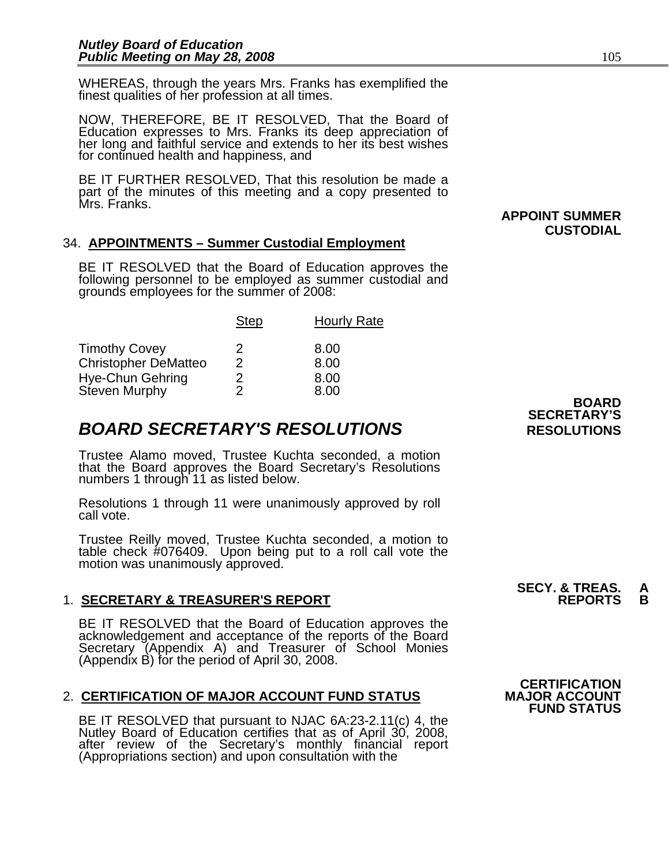WHEREAS, through the years Mrs. Franks has exemplified the finest qualities of her profession at all times.

NOW, THEREFORE, BE IT RESOLVED, That the Board of Education expresses to Mrs. Franks its deep appreciation of her long and faithful service and extends to her its best wishes for continued health and happiness, and

BE IT FURTHER RESOLVED, That this resolution be made a part of the minutes of this meeting and a copy presented to Mrs. Franks.

### 34. **APPOINTMENTS – Summer Custodial Employment**

BE IT RESOLVED that the Board of Education approves the following personnel to be employed as summer custodial and grounds employees for the summer of 2008:

|                                   | <b>Step</b> | <b>Hourly Rate</b> |
|-----------------------------------|-------------|--------------------|
| <b>Timothy Covey</b>              | 2           | 8.00               |
| <b>Christopher DeMatteo</b>       | 2           | 8.00               |
| Hye-Chun Gehring<br>Steven Murphy | 2.<br>2     | 8.00<br>8.00       |

# **BOARD SECRETARY'S RESOLUTIONS** RESOLUTIONS

Trustee Alamo moved, Trustee Kuchta seconded, a motion that the Board approves the Board Secretary's Resolutions numbers 1 through 11 as listed below.

Resolutions 1 through 11 were unanimously approved by roll call vote.

Trustee Reilly moved, Trustee Kuchta seconded, a motion to table check #076409. Upon being put to a roll call vote the motion was unanimously approved.

## 1. **SECRETARY & TREASURER'S REPORT**

BE IT RESOLVED that the Board of Education approves the<br>acknowledgement and acceptance of the reports of the Board<br>Secretary (Appendix A) and Treasurer of School Monies (Appendix B) for the period of April 30, 2008.

#### 2. CERTIFICATION OF MAJOR ACCOUNT FUND STATUS

BE IT RESOLVED that pursuant to NJAC 6A:23-2.11(c) 4, the<br>Nutley Board of Education certifies that as of April 30, 2008,<br>after review of the Secretary's monthly financial report<br>(Appropriations section) and upon consultati

**BOARD SECRETARY'S** 

**CUSTODIAL** 

 **APPOINT SUMMER** 

 **CERTIFICATION FUND STATUS**

**SECY. & TREAS. A**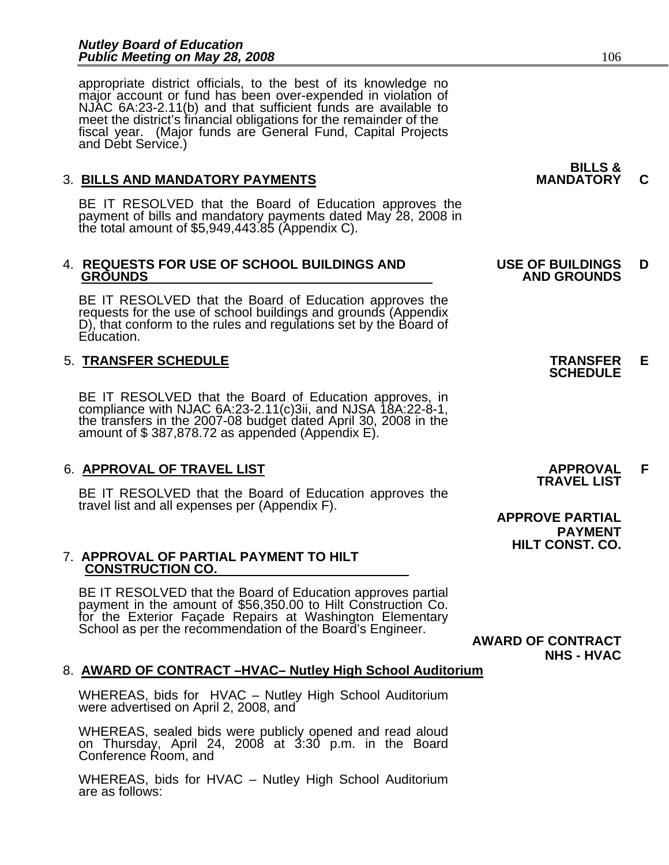appropriate district officials, to the best of its knowledge no major account or fund has been over-expended in violation of NJAC 6A:23-2.11(b) and that sufficient funds are available to meet the district's financial obligations for the remainder of the fiscal year. (Major funds are General Fund, Capital Projects<br>and Debt Service.)

## 3. BILLS AND MANDATORY PAYMENTS **MANDATORY C**

BE IT RESOLVED that the Board of Education approves the payment of bills and mandatory payments dated May 28, 2008 in the total amount of \$5,949,443.85 (Appendix C).

# 4. **REQUESTS FOR USE OF SCHOOL BUILDINGS AND USE OF BUILDINGS D**

BE IT RESOLVED that the Board of Education approves the requests for the use of school buildings and grounds (Appendix D), that conform to the rules and regulations set by the Board of Education.

# 5. **TRANSFER SCHEDULE TRANSFER E SCHEDULE**

BE IT RESOLVED that the Board of Education approves, in compliance with NJAC 6A:23-2.11(c)3ii, and NJSA 18A:22-8-1, the transfers in the 2007-08 budget dated April 30, 2008 in the amount of \$387,878.72 as appended (Appendi

# 6. **APPROVAL OF TRAVEL LIST APPROVAL F TRAVEL LIST**

BE IT RESOLVED that the Board of Education approves the travel list and all expenses per (Appendix F).

# 7. **APPROVAL OF PARTIAL PAYMENT TO HILT CONSTRUCTION CO.**

BE IT RESOLVED that the Board of Education approves partial payment in the amount of \$56,350.00 to Hilt Construction Co. for the Exterior Façade Repairs at Washington Elementary School as per the recommendation of the Board's Engineer. **AWARD OF CONTRACT** 

**NHS - HVAC** 

# 8. **AWARD OF CONTRACT –HVAC– Nutley High School Auditorium**

WHEREAS, bids for HVAC – Nutley High School Auditorium were advertised on April 2, 2008, and

WHEREAS, sealed bids were publicly opened and read aloud on Thursday, April 24, 2008 at 3:30 p.m. in the Board Conference Room, and

WHEREAS, bids for HVAC – Nutley High School Auditorium<br>are as follows:

# **BILLS &**

# **GROUNDS AND GROUNDS**

 **APPROVE PARTIAL PAYMENT HILT CONST. CO.**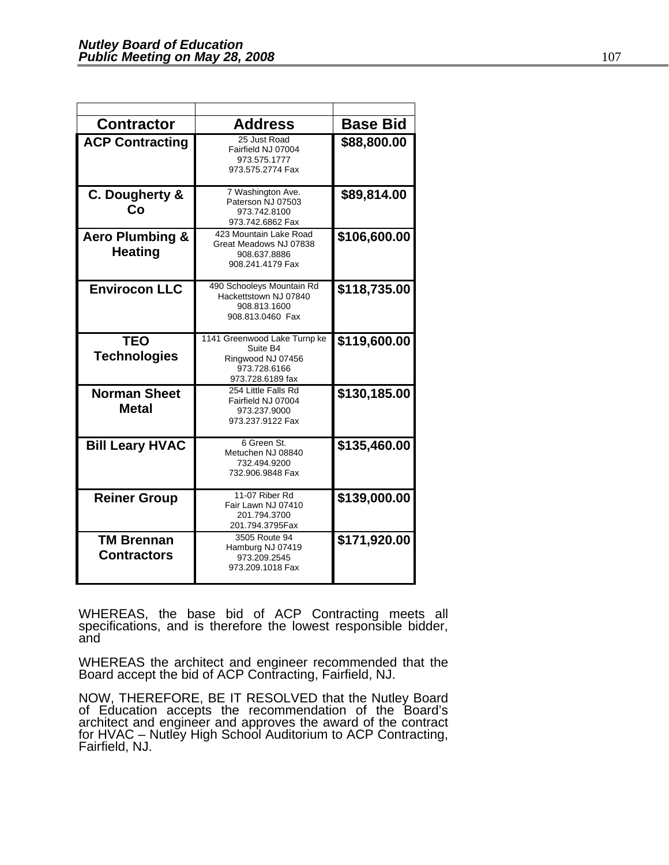| <b>Contractor</b>                            | <b>Address</b>                                                                                    | <b>Base Bid</b> |
|----------------------------------------------|---------------------------------------------------------------------------------------------------|-----------------|
|                                              | 25 Just Road                                                                                      |                 |
| <b>ACP Contracting</b>                       | Fairfield NJ 07004<br>973.575.1777<br>973.575.2774 Fax                                            | \$88,800.00     |
| C. Dougherty &<br>Co                         | 7 Washington Ave.<br>Paterson NJ 07503<br>973.742.8100<br>973.742.6862 Fax                        | \$89,814.00     |
| <b>Aero Plumbing &amp;</b><br><b>Heating</b> | 423 Mountain Lake Road<br>Great Meadows NJ 07838<br>908.637.8886<br>908.241.4179 Fax              | \$106,600.00    |
| <b>Envirocon LLC</b>                         | 490 Schooleys Mountain Rd<br>Hackettstown NJ 07840<br>908.813.1600<br>908.813.0460 Fax            | \$118,735.00    |
| <b>TEO</b><br><b>Technologies</b>            | 1141 Greenwood Lake Turnp ke<br>Suite B4<br>Ringwood NJ 07456<br>973.728.6166<br>973.728.6189 fax | \$119,600.00    |
| <b>Norman Sheet</b><br><b>Metal</b>          | 254 Little Falls Rd<br>Fairfield NJ 07004<br>973.237.9000<br>973.237.9122 Fax                     | \$130,185.00    |
| <b>Bill Leary HVAC</b>                       | 6 Green St.<br>Metuchen NJ 08840<br>732.494.9200<br>732.906.9848 Fax                              | \$135,460.00    |
| <b>Reiner Group</b>                          | 11-07 Riber Rd<br>Fair Lawn NJ 07410<br>201.794.3700<br>201.794.3795Fax                           | \$139,000.00    |
| <b>TM Brennan</b><br><b>Contractors</b>      | 3505 Route 94<br>Hamburg NJ 07419<br>973.209.2545<br>973.209.1018 Fax                             | \$171,920.00    |

WHEREAS, the base bid of ACP Contracting meets all specifications, and is therefore the lowest responsible bidder, and

WHEREAS the architect and engineer recommended that the Board accept the bid of ACP Contracting, Fairfield, NJ.

NOW, THEREFORE, BE IT RESOLVED that the Nutley Board of Education accepts the recommendation of the Board's architect and engineer and approves the award of the contract for HVAC – Nutlĕy High School Auditorium to ACP Contracting,<br>Fairfield, NJ.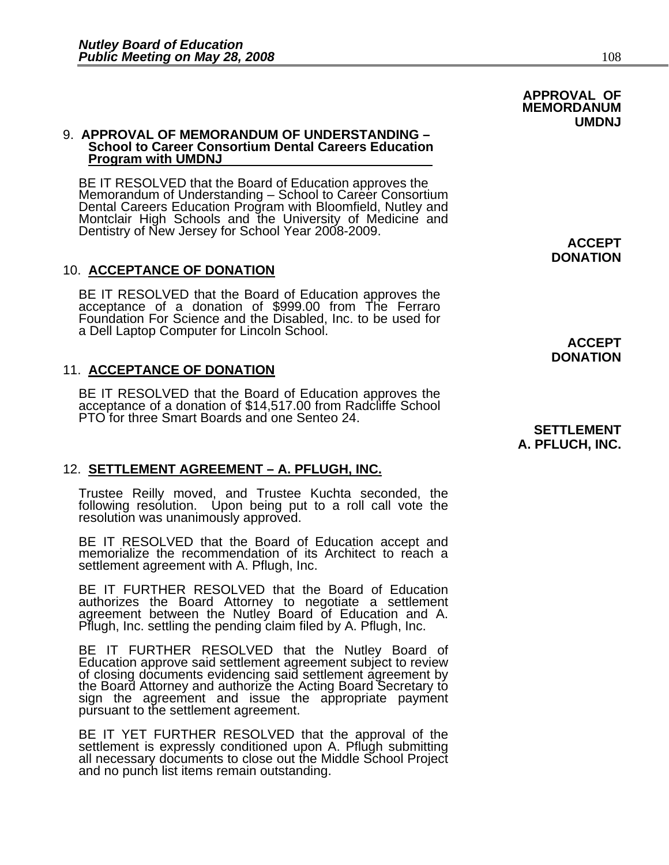#### 9. **APPROVAL OF MEMORANDUM OF UNDERSTANDING – School to Career Consortium Dental Careers Education Program with UMDNJ**

BE IT RESOLVED that the Board of Education approves the<br>Memorandum of Understanding – School to Career Consortium Dental Careers Education Program with Bloomfield, Nutley and<br>Montclair High Schools and the University of Medicine and<br>Dentistry of New Jersey for School Year 2008-2009.

## 10. **ACCEPTANCE OF DONATION**

BE IT RESOLVED that the Board of Education approves the<br>acceptance of a donation of \$999.00 from The Ferraro Foundation For Science and the Disabled, Inc. to be used for a Dell Laptop Computer for Lincoln School.

### 11. **ACCEPTANCE OF DONATION**

BE IT RESOLVED that the Board of Education approves the acceptance of a donation of \$14,517.00 from Radcliffe School PTO for three Smart Boards and one Senteo 24.

## 12. **SETTLEMENT AGREEMENT – A. PFLUGH, INC.**

Trustee Reilly moved, and Trustee Kuchta seconded, the following resolution. Upon being put to a roll call vote the resolution was unanimously approved.

BE IT RESOLVED that the Board of Education accept and memorialize the recommendation of its Architect to reach a settlement agreement with A. Pflugh, Inc.

BE IT FURTHER RESOLVED that the Board of Education authorizes the Board Attorney to negotiate a settlement agreement between the Nutley Board of Education and A. Pflugh, Inc. settling the pending claim filed by A. Pflugh, Inc.

BE IT FURTHER RESOLVED that the Nutley Board of Education approve said settlement agreement subject to review of closing documents evidencing said settlement agreement by the Board Attorney and authorize the Acting Board S

BE IT YET FURTHER RESOLVED that the approval of the settlement is expressly conditioned upon A. Pflugh submitting all necessary documents to close out the Middle School Project and no punch list items remain outstanding.

**DONATION** 

**APPROVAL OF MEMORDANUM** 

> **ACCEPT DONATION**

#### **SETTLEMENT A. PFLUCH, INC.**

 **UMDNJ**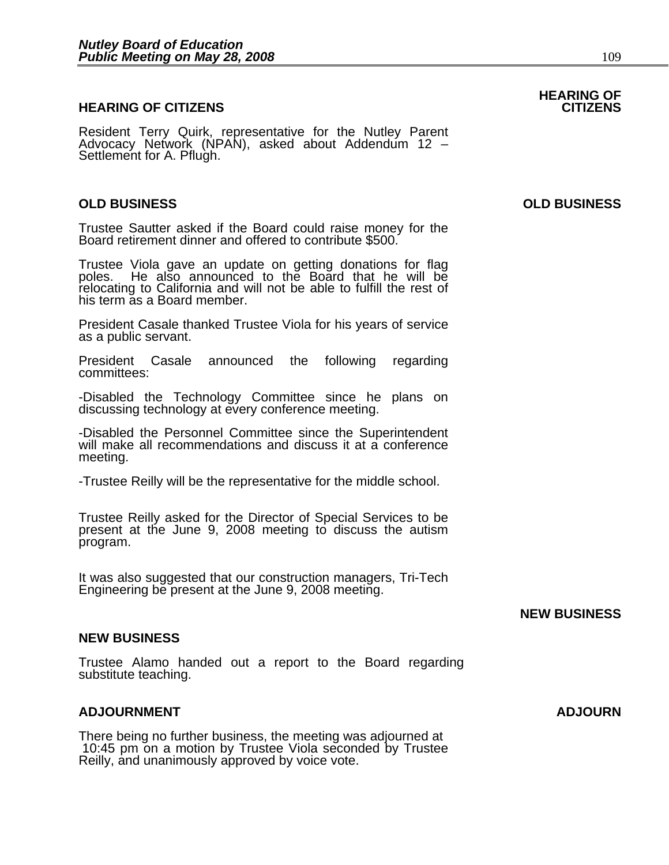#### **HEARING OF CITIZENS CITIZENS**

Resident Terry Quirk, representative for the Nutley Parent Advocacy Network (NPAN), asked about Addendum 12 – Settlement for A. Pflugh.

#### **OLD BUSINESS OLD BUSINESS**

Trustee Sautter asked if the Board could raise money for the Board retirement dinner and offered to contribute \$500.

Trustee Viola gave an update on getting donations for flag poles. He also announced to the Board that he will be relocating to California and will not be able to fulfill the rest of his term as a Board member.

President Casale thanked Trustee Viola for his years of service as a public servant.

President Casale announced the following regarding committees:

-Disabled the Technology Committee since he plans on discussing technology at every conference meeting.

-Disabled the Personnel Committee since the Superintendent will make all recommendations and discuss it at a conference meeting.

-Trustee Reilly will be the representative for the middle school.

Trustee Reilly asked for the Director of Special Services to be present at the June 9, 2008 meeting to discuss the autism program.

It was also suggested that our construction managers, Tri-Tech Engineering be present at the June 9, 2008 meeting.

#### **NEW BUSINESS**

#### **NEW BUSINESS**

Trustee Alamo handed out a report to the Board regarding substitute teaching.

#### **ADJOURNMENT ADJOURN**

There being no further business, the meeting was adjourned at 10:45 pm on a motion by Trustee Viola seconded by Trustee Reilly, and unanimously approved by voice vote.

**HEARING OF**